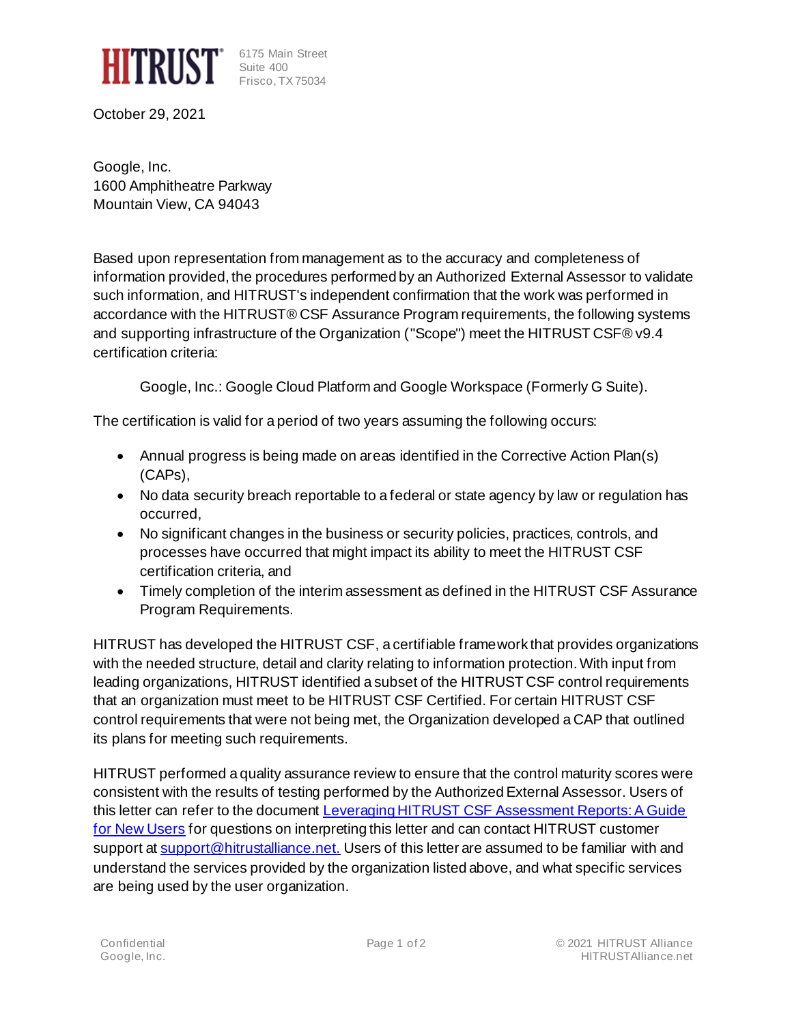

6175 Main Street Suite 400 Frisco, TX 75034

October 29, 2021

Google, Inc. 1600 Amphitheatre Parkway Mountain View, CA 94043

Based upon representation from management as to the accuracy and completeness of information provided, the procedures performed by an Authorized External Assessor to validate such information, and HITRUST's independent confirmation that the work was performed in accordance with the HITRUST® CSF Assurance Program requirements, the following systems and supporting infrastructure of the Organization ("Scope") meet the HITRUST CSF® v9.4 certification criteria:

Google, Inc.: Google Cloud Platform and Google Workspace (Formerly G Suite).

The certification is valid for a period of two years assuming the following occurs:

- Annual progress is being made on areas identified in the Corrective Action Plan(s) (CAPs),
- No data security breach reportable to a federal or state agency by law or regulation has occurred,
- No significant changes in the business or security policies, practices, controls, and processes have occurred that might impact its ability to meet the HITRUST CSF certification criteria, and
- Timely completion of the interim assessment as defined in the HITRUST CSF Assurance Program Requirements.

HITRUST has developed the HITRUST CSF, a certifiable framework that provides organizations with the needed structure, detail and clarity relating to information protection. With input from leading organizations, HITRUST identified a subset of the HITRUST CSF control requirements that an organization must meet to be HITRUST CSF Certified. For certain HITRUST CSF control requirements that were not being met, the Organization developed a CAP that outlined its plans for meeting such requirements.

HITRUST performed a quality assurance review to ensure that the control maturity scores were consistent with the results of testing performed by the Authorized External Assessor. Users of this letter can refer to the document Leveraging HITRUST CSF Assessment Reports: A Guide [for New Users](https://hitrustalliance.net/content/uploads/Leveraging-CSF-v9-Assessment-Reports.pdf) for questions on interpreting this letter and can contact HITRUST customer support at [support@hitrustalliance.net.](mailto:support@hitrustalliance.net) Users of this letter are assumed to be familiar with and understand the services provided by the organization listed above, and what specific services are being used by the user organization.